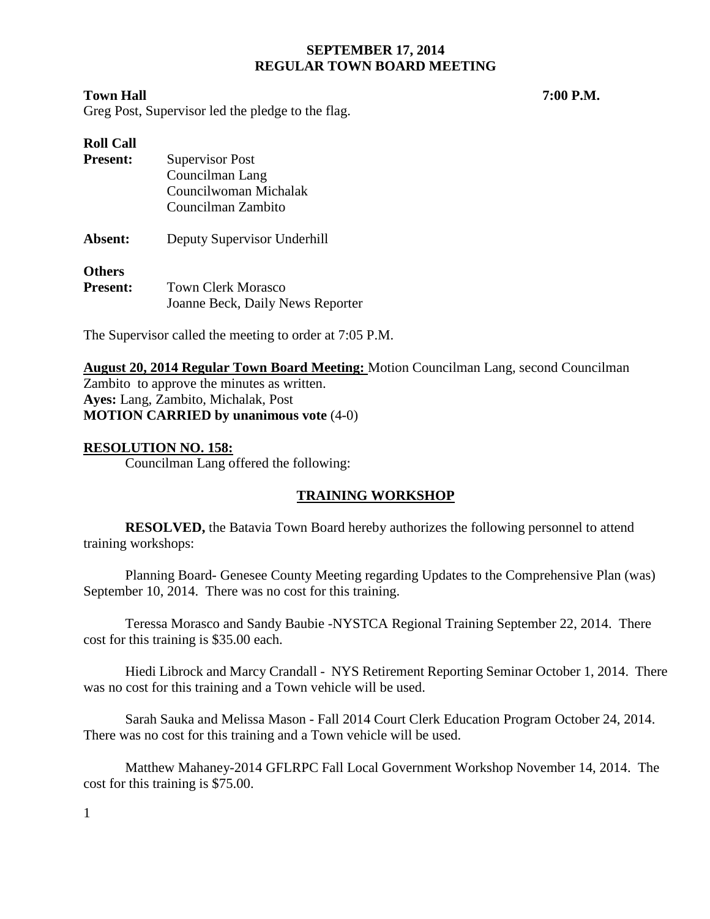## **Town Hall 7:00 P.M.**

Greg Post, Supervisor led the pledge to the flag.

| <b>Roll Call</b> |                                  |
|------------------|----------------------------------|
| <b>Present:</b>  | <b>Supervisor Post</b>           |
|                  | Councilman Lang                  |
|                  | Councilwoman Michalak            |
|                  | Councilman Zambito               |
| Absent:          | Deputy Supervisor Underhill      |
| <b>Others</b>    |                                  |
| <b>Present:</b>  | <b>Town Clerk Morasco</b>        |
|                  | Joanne Beck, Daily News Reporter |

The Supervisor called the meeting to order at 7:05 P.M.

**August 20, 2014 Regular Town Board Meeting:** Motion Councilman Lang, second Councilman Zambito to approve the minutes as written. **Ayes:** Lang, Zambito, Michalak, Post **MOTION CARRIED by unanimous vote** (4-0)

## **RESOLUTION NO. 158:**

Councilman Lang offered the following:

## **TRAINING WORKSHOP**

**RESOLVED,** the Batavia Town Board hereby authorizes the following personnel to attend training workshops:

Planning Board- Genesee County Meeting regarding Updates to the Comprehensive Plan (was) September 10, 2014. There was no cost for this training.

Teressa Morasco and Sandy Baubie -NYSTCA Regional Training September 22, 2014. There cost for this training is \$35.00 each.

Hiedi Librock and Marcy Crandall - NYS Retirement Reporting Seminar October 1, 2014. There was no cost for this training and a Town vehicle will be used.

Sarah Sauka and Melissa Mason - Fall 2014 Court Clerk Education Program October 24, 2014. There was no cost for this training and a Town vehicle will be used.

Matthew Mahaney-2014 GFLRPC Fall Local Government Workshop November 14, 2014. The cost for this training is \$75.00.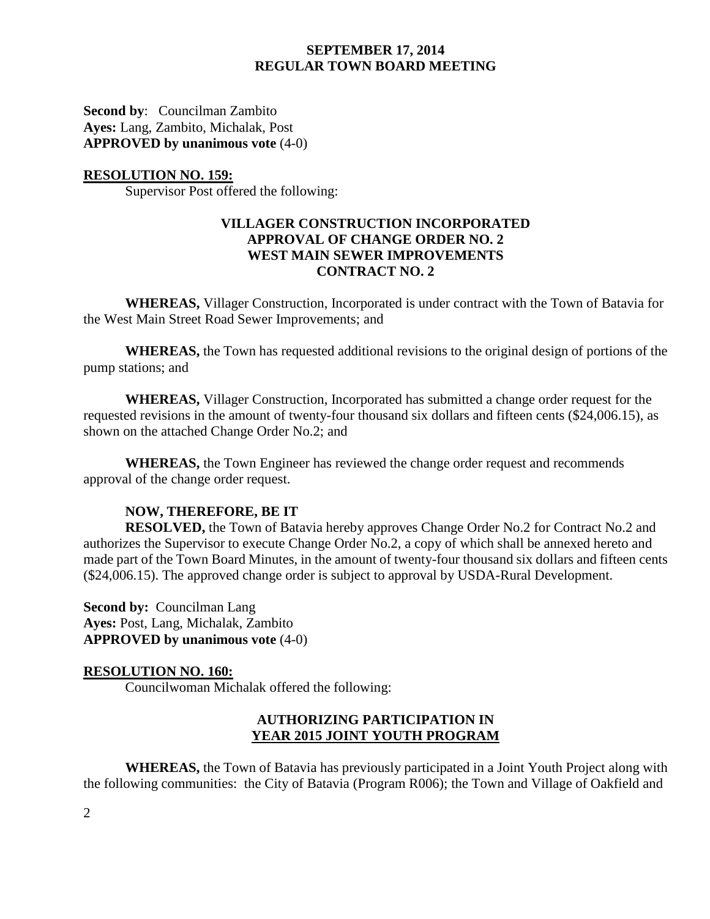**Second by**: Councilman Zambito **Ayes:** Lang, Zambito, Michalak, Post **APPROVED by unanimous vote** (4-0)

#### **RESOLUTION NO. 159:**

Supervisor Post offered the following:

## **VILLAGER CONSTRUCTION INCORPORATED APPROVAL OF CHANGE ORDER NO. 2 WEST MAIN SEWER IMPROVEMENTS CONTRACT NO. 2**

**WHEREAS,** Villager Construction, Incorporated is under contract with the Town of Batavia for the West Main Street Road Sewer Improvements; and

**WHEREAS,** the Town has requested additional revisions to the original design of portions of the pump stations; and

**WHEREAS,** Villager Construction, Incorporated has submitted a change order request for the requested revisions in the amount of twenty-four thousand six dollars and fifteen cents (\$24,006.15), as shown on the attached Change Order No.2; and

**WHEREAS,** the Town Engineer has reviewed the change order request and recommends approval of the change order request.

## **NOW, THEREFORE, BE IT**

**RESOLVED,** the Town of Batavia hereby approves Change Order No.2 for Contract No.2 and authorizes the Supervisor to execute Change Order No.2, a copy of which shall be annexed hereto and made part of the Town Board Minutes, in the amount of twenty-four thousand six dollars and fifteen cents (\$24,006.15). The approved change order is subject to approval by USDA-Rural Development.

**Second by:** Councilman Lang **Ayes:** Post, Lang, Michalak, Zambito **APPROVED by unanimous vote** (4-0)

## **RESOLUTION NO. 160:**

Councilwoman Michalak offered the following:

## **AUTHORIZING PARTICIPATION IN YEAR 2015 JOINT YOUTH PROGRAM**

**WHEREAS,** the Town of Batavia has previously participated in a Joint Youth Project along with the following communities: the City of Batavia (Program R006); the Town and Village of Oakfield and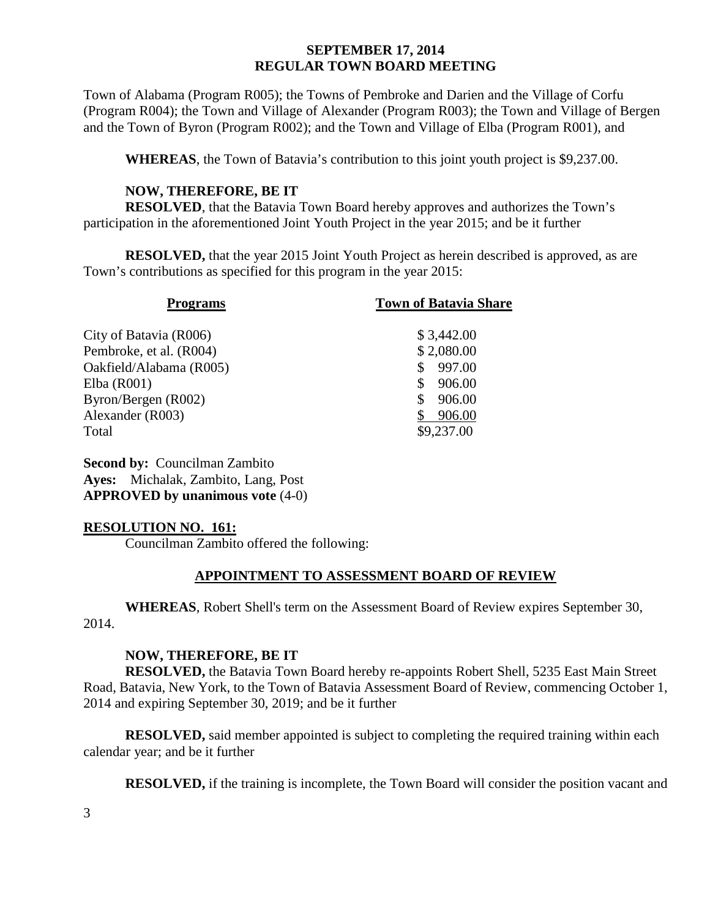Town of Alabama (Program R005); the Towns of Pembroke and Darien and the Village of Corfu (Program R004); the Town and Village of Alexander (Program R003); the Town and Village of Bergen and the Town of Byron (Program R002); and the Town and Village of Elba (Program R001), and

**WHEREAS**, the Town of Batavia's contribution to this joint youth project is \$9,237.00.

## **NOW, THEREFORE, BE IT**

**RESOLVED**, that the Batavia Town Board hereby approves and authorizes the Town's participation in the aforementioned Joint Youth Project in the year 2015; and be it further

**RESOLVED,** that the year 2015 Joint Youth Project as herein described is approved, as are Town's contributions as specified for this program in the year 2015:

| <b>Programs</b>         | <b>Town of Batavia Share</b> |  |
|-------------------------|------------------------------|--|
|                         |                              |  |
| City of Batavia (R006)  | \$3,442.00                   |  |
| Pembroke, et al. (R004) | \$2,080.00                   |  |
| Oakfield/Alabama (R005) | 997.00                       |  |
| Elba (R001)             | 906.00                       |  |
| Byron/Bergen (R002)     | 906.00                       |  |
| Alexander (R003)        | 906.00                       |  |
| Total                   | \$9,237.00                   |  |
|                         |                              |  |

**Second by:** Councilman Zambito **Ayes:** Michalak, Zambito, Lang, Post **APPROVED by unanimous vote** (4-0)

## **RESOLUTION NO. 161:**

Councilman Zambito offered the following:

## **APPOINTMENT TO ASSESSMENT BOARD OF REVIEW**

**WHEREAS**, Robert Shell's term on the Assessment Board of Review expires September 30, 2014.

## **NOW, THEREFORE, BE IT**

**RESOLVED,** the Batavia Town Board hereby re-appoints Robert Shell, 5235 East Main Street Road, Batavia, New York, to the Town of Batavia Assessment Board of Review, commencing October 1, 2014 and expiring September 30, 2019; and be it further

**RESOLVED,** said member appointed is subject to completing the required training within each calendar year; and be it further

**RESOLVED,** if the training is incomplete, the Town Board will consider the position vacant and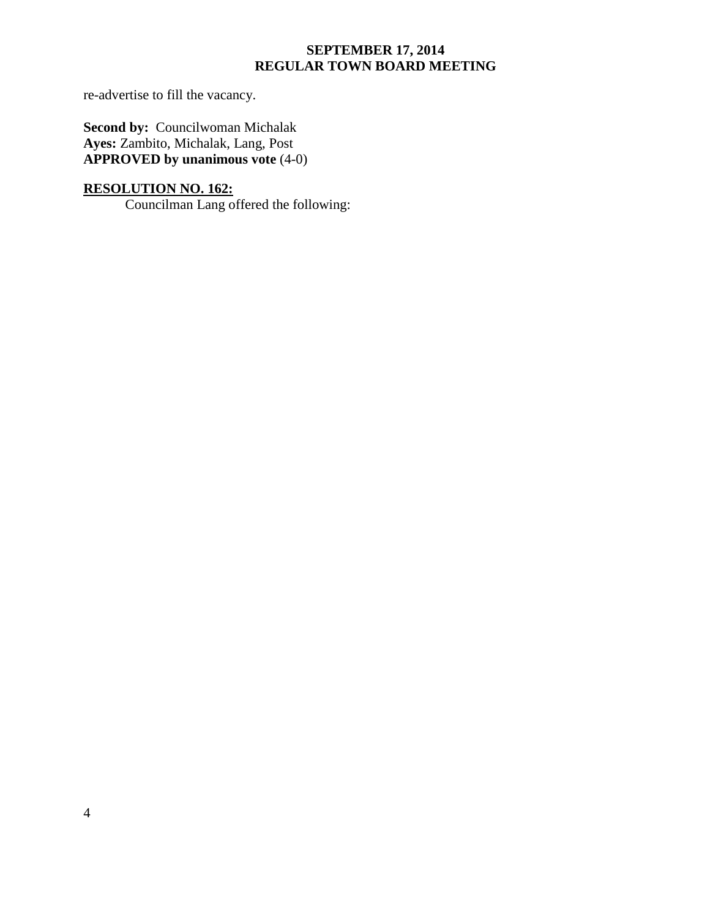re-advertise to fill the vacancy.

**Second by: Councilwoman Michalak Ayes:** Zambito, Michalak, Lang, Post **APPROVED by unanimous vote** (4-0)

# **RESOLUTION NO. 162:**

Councilman Lang offered the following: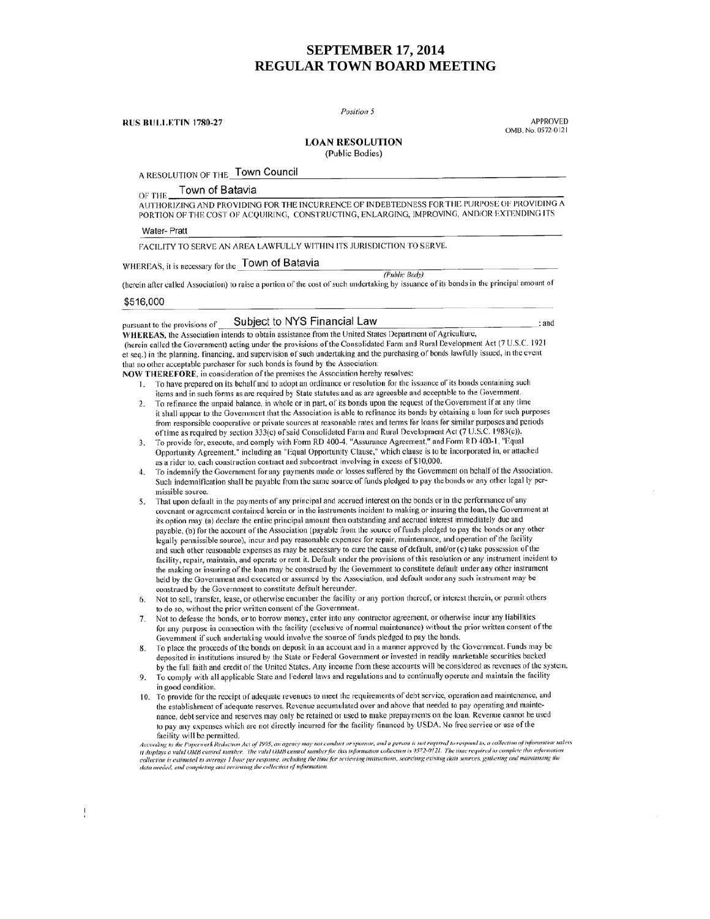Position 5

**RUS BULLETIN 1780-27** 

**APPROVED** OMB. No. 0572-0121

#### **LOAN RESOLUTION**

(Public Bodies)

A RESOLUTION OF THE TOWN Council

Town of Batavia OF THE

AUTHORIZING AND PROVIDING FOR THE INCURRENCE OF INDEBTEDNESS FOR THE PURPOSE OF PROVIDING A PORTION OF THE COST OF ACQUIRING, CONSTRUCTING, ENLARGING, IMPROVING, AND/OR EXTENDING ITS

**Water-Pratt** 

pursuant to the provisions of

FACILITY TO SERVE AN AREA LAWFULLY WITHIN ITS JURISDICTION TO SERVE.

# WHEREAS, it is necessary for the Town of Batavia

(Public Body)

(herein after called Association) to raise a portion of the cost of such undertaking by issuance of its bonds in the principal amount of

#### \$516,000

 $\ddot{\cdot}$ 

#### Subject to NYS Financial Law

: and

WHEREAS, the Association intends to obtain assistance from the United States Department of Agriculture, (herein called the Government) acting under the provisions of the Consolidated Farm and Rural Development Act (7 U.S.C. 1921 et seq.) in the planning. financing, and supervision of such undertaking and the purchasing of bonds lawfully issued, in the event that no other acceptable purchaser for such bonds is found by the Association:

NOW THEREFORE, in consideration of the premises the Association hereby resolves:

- 1. To have prepared on its behalf and to adopt an ordinance or resolution for the issuance of its bonds containing such items and in such forms as are required by State statutes and as are agreeable and acceptable to the Government.
- To refinance the unpaid balance, in whole or in part, of its bonds upon the request of the Government if at any time  $2.$ it shall appear to the Government that the Association is able to refinance its bonds by obtaining a loan for such purposes from responsible cooperative or private sources at reasonable rates and terms for loans for similar purposes and periods of time as required by section 333(c) of said Consolidated Farm and Rural Development Act (7 U.S.C. 1983(c)).
- To provide for, execute, and comply with Form RD 400-4, "Assurance Agreement," and Form RD 400-1, "Equal  $\overline{3}$ . Opportunity Agreement," including an "Equal Opportunity Clause," which clause is to be incorporated in, or attached as a rider to, each construction contract and subcontract involving in excess of \$10,000.
- To indemnify the Government for any payments made or losses suffered by the Government on behalf of the Association. Such indemnification shall be payable from the same source of funds pledged to pay the bonds or any other legal ly permissible source.
- That upon default in the payments of any principal and accrued interest on the bonds or in the performance of any 5. covenant or agreement contained herein or in the instruments incident to making or insuring the Ioan, the Government at its option may (a) declare the entire principal amount then outstanding and accrued interest immediately due and payable, (b) for the account of the Association (payable from the source of funds pledged to pay the bonds or any other legally permissible source), incur and pay reasonable expenses for repair, maintenance, and operation of the facility and such other reasonable expenses as may be necessary to cure the cause of default, and/or (c) take possession of the facility, repair, maintain, and operate or rent it. Default under the provisions of this resolution or any instrument incident to the making or insuring of the loan may be construed by the Government to constitute default under any other instrument held by the Government and executed or assumed by the Association, and default under any such instrument may be construed by the Government to constitute default hereunder.
- Not to sell, transfer, lease, or otherwise encumber the facility or any portion thereof, or interest therein, or permit others 6. to do so, without the prior written consent of the Government.
- Not to defease the bonds, or to borrow money, enter into any contractor agreement, or otherwise incur any liabilities 7. for any purpose in connection with the facility (exclusive of normal maintenance) without the prior written consent of the Government if such undertaking would involve the source of funds pledged to pay the bonds.
- To place the proceeds of the bonds on deposit in an account and in a manner approved by the Government. Funds may be 8. deposited in institutions insured by the State or Federal Government or invested in readily marketable securities backed by the full faith and credit of the United States. Any income from these accounts will be considered as revenues of the system.
- To comply with all applicable State and Federal laws and regulations and to continually operate and maintain the facility in good condition.
- 10. To provide for the receipt of adequate revenues to meet the requirements of debt service, operation and maintenance, and the establishment of adequate reserves. Revenue accumulated over and above that needed to pay operating and maintenance, debt service and reserves may only be retained or used to make prepayments on the loan. Revenue cannot be used to pay any expenses which are not directly incurred for the facility financed by USDA. No free service or use of the facility will be permitted.

accurity will be permitted.<br>According to the Paperwork Reduction Act of 1995, an agency may not conduct or sponsor, and a person is not required to respond to, a collection of information unless<br>It displays a valid OMB con r collection is estimated to average I how per response, including the time for reviewing instructions, searching existing data sources, gathering and maintaining the<br>data needed, and completing and reviewing the collectio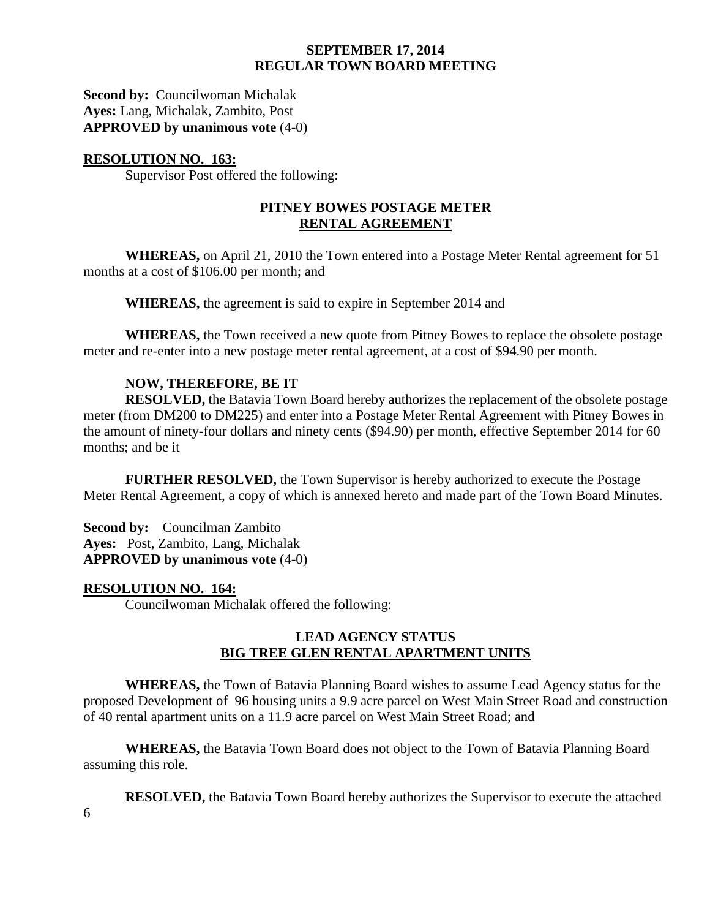**Second by: Councilwoman Michalak Ayes:** Lang, Michalak, Zambito, Post **APPROVED by unanimous vote** (4-0)

## **RESOLUTION NO. 163:**

Supervisor Post offered the following:

## **PITNEY BOWES POSTAGE METER RENTAL AGREEMENT**

**WHEREAS,** on April 21, 2010 the Town entered into a Postage Meter Rental agreement for 51 months at a cost of \$106.00 per month; and

**WHEREAS,** the agreement is said to expire in September 2014 and

**WHEREAS,** the Town received a new quote from Pitney Bowes to replace the obsolete postage meter and re-enter into a new postage meter rental agreement, at a cost of \$94.90 per month.

## **NOW, THEREFORE, BE IT**

**RESOLVED,** the Batavia Town Board hereby authorizes the replacement of the obsolete postage meter (from DM200 to DM225) and enter into a Postage Meter Rental Agreement with Pitney Bowes in the amount of ninety-four dollars and ninety cents (\$94.90) per month, effective September 2014 for 60 months; and be it

**FURTHER RESOLVED,** the Town Supervisor is hereby authorized to execute the Postage Meter Rental Agreement, a copy of which is annexed hereto and made part of the Town Board Minutes.

**Second by:** Councilman Zambito **Ayes:** Post, Zambito, Lang, Michalak **APPROVED by unanimous vote** (4-0)

## **RESOLUTION NO. 164:**

Councilwoman Michalak offered the following:

## **LEAD AGENCY STATUS BIG TREE GLEN RENTAL APARTMENT UNITS**

**WHEREAS,** the Town of Batavia Planning Board wishes to assume Lead Agency status for the proposed Development of 96 housing units a 9.9 acre parcel on West Main Street Road and construction of 40 rental apartment units on a 11.9 acre parcel on West Main Street Road; and

**WHEREAS,** the Batavia Town Board does not object to the Town of Batavia Planning Board assuming this role.

**RESOLVED,** the Batavia Town Board hereby authorizes the Supervisor to execute the attached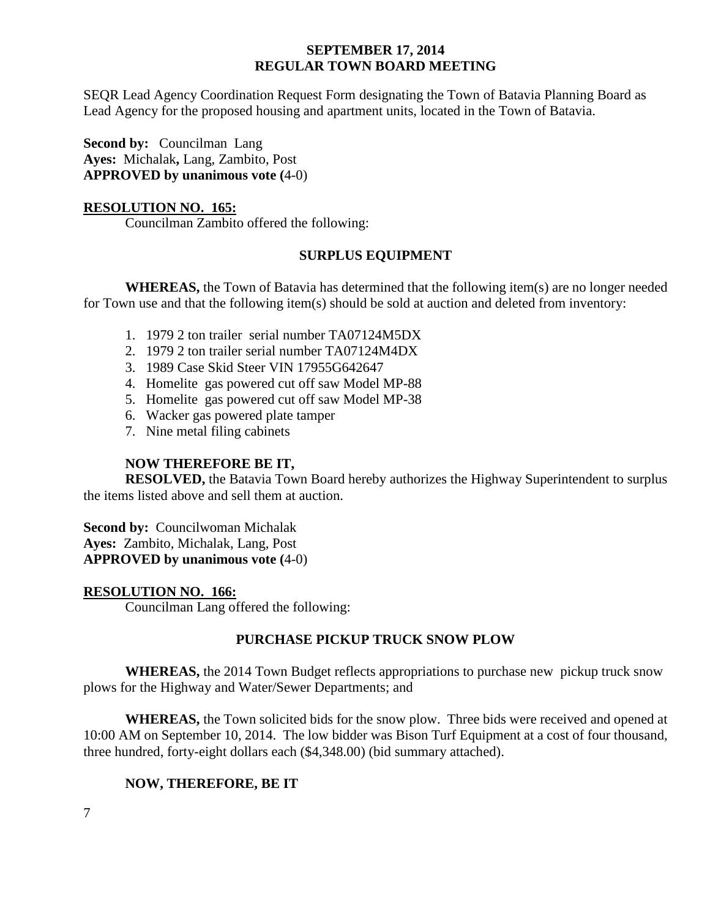SEQR Lead Agency Coordination Request Form designating the Town of Batavia Planning Board as Lead Agency for the proposed housing and apartment units, located in the Town of Batavia.

**Second by: Councilman Lang Ayes:** Michalak**,** Lang, Zambito, Post **APPROVED by unanimous vote (**4-0)

## **RESOLUTION NO. 165:**

Councilman Zambito offered the following:

## **SURPLUS EQUIPMENT**

**WHEREAS,** the Town of Batavia has determined that the following item(s) are no longer needed for Town use and that the following item(s) should be sold at auction and deleted from inventory:

- 1. 1979 2 ton trailer serial number TA07124M5DX
- 2. 1979 2 ton trailer serial number TA07124M4DX
- 3. 1989 Case Skid Steer VIN 17955G642647
- 4. Homelite gas powered cut off saw Model MP-88
- 5. Homelite gas powered cut off saw Model MP-38
- 6. Wacker gas powered plate tamper
- 7. Nine metal filing cabinets

# **NOW THEREFORE BE IT,**

**RESOLVED,** the Batavia Town Board hereby authorizes the Highway Superintendent to surplus the items listed above and sell them at auction.

**Second by:** Councilwoman Michalak **Ayes:** Zambito, Michalak, Lang, Post **APPROVED by unanimous vote (**4-0)

## **RESOLUTION NO. 166:**

Councilman Lang offered the following:

# **PURCHASE PICKUP TRUCK SNOW PLOW**

**WHEREAS,** the 2014 Town Budget reflects appropriations to purchase new pickup truck snow plows for the Highway and Water/Sewer Departments; and

**WHEREAS,** the Town solicited bids for the snow plow. Three bids were received and opened at 10:00 AM on September 10, 2014. The low bidder was Bison Turf Equipment at a cost of four thousand, three hundred, forty-eight dollars each (\$4,348.00) (bid summary attached).

## **NOW, THEREFORE, BE IT**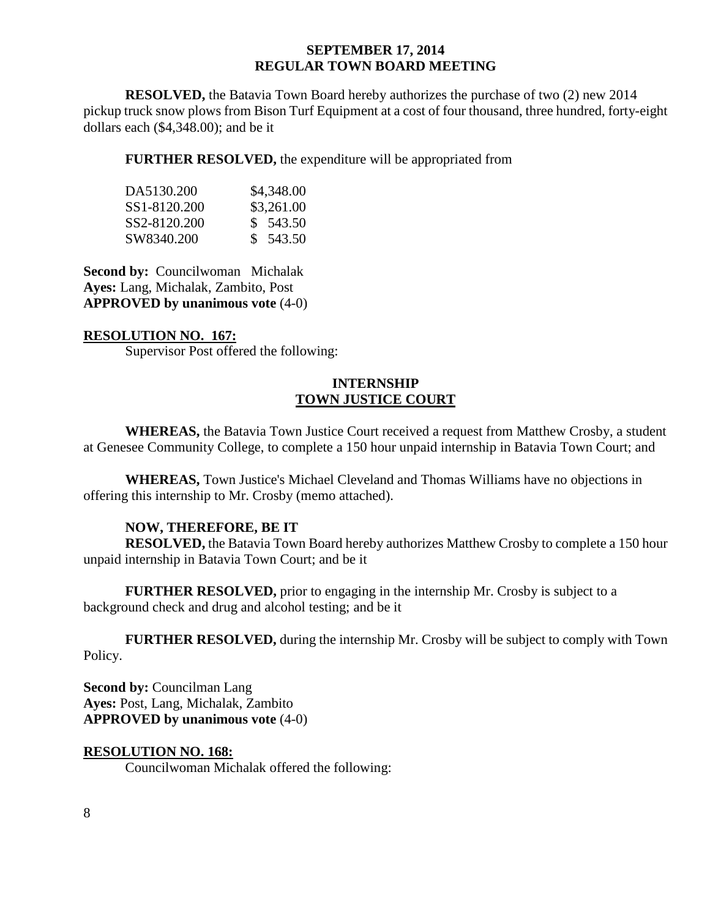**RESOLVED,** the Batavia Town Board hereby authorizes the purchase of two (2) new 2014 pickup truck snow plows from Bison Turf Equipment at a cost of four thousand, three hundred, forty-eight dollars each (\$4,348.00); and be it

**FURTHER RESOLVED,** the expenditure will be appropriated from

| DA5130.200   | \$4,348.00 |
|--------------|------------|
| SS1-8120.200 | \$3,261.00 |
| SS2-8120.200 | \$ 543.50  |
| SW8340.200   | \$ 543.50  |

**Second by: Councilwoman Michalak Ayes:** Lang, Michalak, Zambito, Post **APPROVED by unanimous vote** (4-0)

## **RESOLUTION NO. 167:**

Supervisor Post offered the following:

## **INTERNSHIP TOWN JUSTICE COURT**

**WHEREAS,** the Batavia Town Justice Court received a request from Matthew Crosby, a student at Genesee Community College, to complete a 150 hour unpaid internship in Batavia Town Court; and

**WHEREAS,** Town Justice's Michael Cleveland and Thomas Williams have no objections in offering this internship to Mr. Crosby (memo attached).

## **NOW, THEREFORE, BE IT**

**RESOLVED,** the Batavia Town Board hereby authorizes Matthew Crosby to complete a 150 hour unpaid internship in Batavia Town Court; and be it

**FURTHER RESOLVED,** prior to engaging in the internship Mr. Crosby is subject to a background check and drug and alcohol testing; and be it

**FURTHER RESOLVED,** during the internship Mr. Crosby will be subject to comply with Town Policy.

**Second by:** Councilman Lang **Ayes:** Post, Lang, Michalak, Zambito **APPROVED by unanimous vote** (4-0)

# **RESOLUTION NO. 168:**

Councilwoman Michalak offered the following: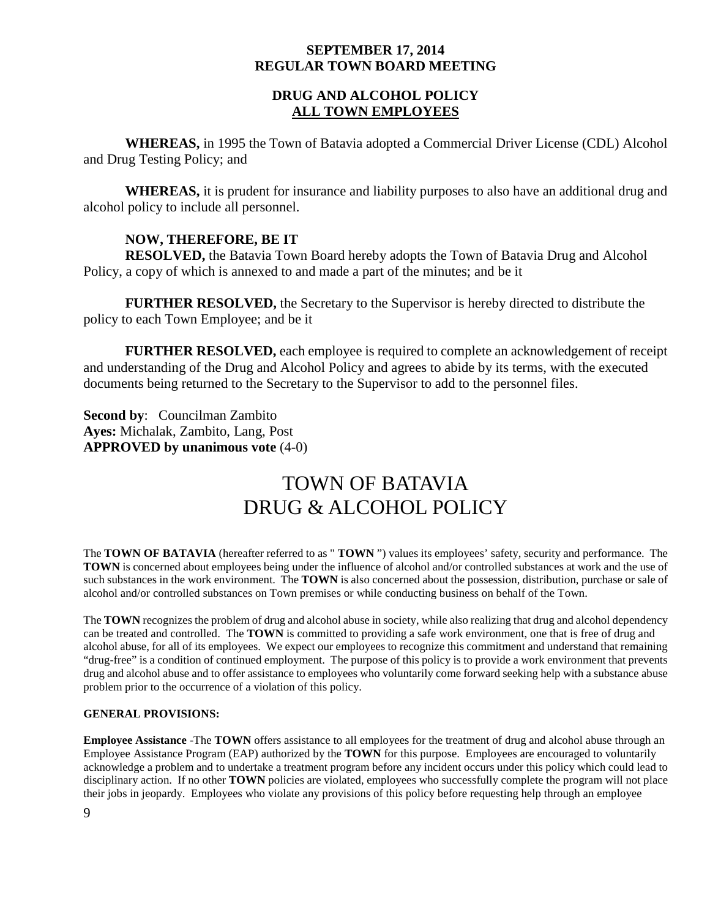## **DRUG AND ALCOHOL POLICY ALL TOWN EMPLOYEES**

**WHEREAS,** in 1995 the Town of Batavia adopted a Commercial Driver License (CDL) Alcohol and Drug Testing Policy; and

**WHEREAS,** it is prudent for insurance and liability purposes to also have an additional drug and alcohol policy to include all personnel.

## **NOW, THEREFORE, BE IT**

**RESOLVED,** the Batavia Town Board hereby adopts the Town of Batavia Drug and Alcohol Policy, a copy of which is annexed to and made a part of the minutes; and be it

**FURTHER RESOLVED,** the Secretary to the Supervisor is hereby directed to distribute the policy to each Town Employee; and be it

**FURTHER RESOLVED,** each employee is required to complete an acknowledgement of receipt and understanding of the Drug and Alcohol Policy and agrees to abide by its terms, with the executed documents being returned to the Secretary to the Supervisor to add to the personnel files.

**Second by**: Councilman Zambito **Ayes:** Michalak, Zambito, Lang, Post **APPROVED by unanimous vote** (4-0)

# TOWN OF BATAVIA DRUG & ALCOHOL POLICY

The **TOWN OF BATAVIA** (hereafter referred to as " **TOWN** ") values its employees' safety, security and performance. The **TOWN** is concerned about employees being under the influence of alcohol and/or controlled substances at work and the use of such substances in the work environment. The **TOWN** is also concerned about the possession, distribution, purchase or sale of alcohol and/or controlled substances on Town premises or while conducting business on behalf of the Town.

The **TOWN** recognizes the problem of drug and alcohol abuse in society, while also realizing that drug and alcohol dependency can be treated and controlled. The **TOWN** is committed to providing a safe work environment, one that is free of drug and alcohol abuse, for all of its employees. We expect our employees to recognize this commitment and understand that remaining "drug-free" is a condition of continued employment. The purpose of this policy is to provide a work environment that prevents drug and alcohol abuse and to offer assistance to employees who voluntarily come forward seeking help with a substance abuse problem prior to the occurrence of a violation of this policy.

#### **GENERAL PROVISIONS:**

**Employee Assistance** -The **TOWN** offers assistance to all employees for the treatment of drug and alcohol abuse through an Employee Assistance Program (EAP) authorized by the **TOWN** for this purpose. Employees are encouraged to voluntarily acknowledge a problem and to undertake a treatment program before any incident occurs under this policy which could lead to disciplinary action. If no other **TOWN** policies are violated, employees who successfully complete the program will not place their jobs in jeopardy. Employees who violate any provisions of this policy before requesting help through an employee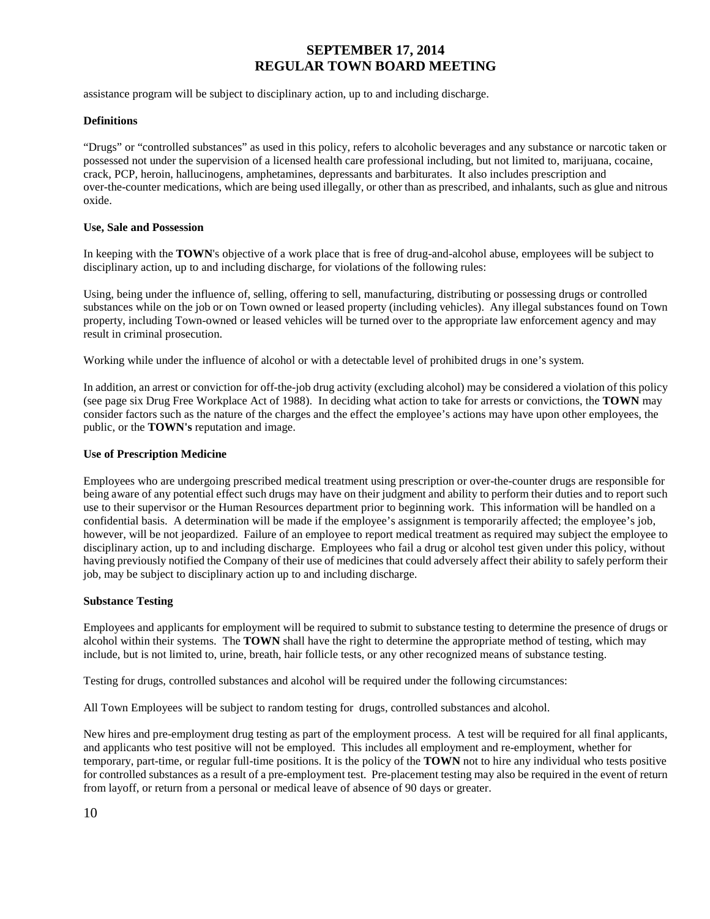assistance program will be subject to disciplinary action, up to and including discharge.

#### **Definitions**

"Drugs" or "controlled substances" as used in this policy, refers to alcoholic beverages and any substance or narcotic taken or possessed not under the supervision of a licensed health care professional including, but not limited to, marijuana, cocaine, crack, PCP, heroin, hallucinogens, amphetamines, depressants and barbiturates. It also includes prescription and over-the-counter medications, which are being used illegally, or other than as prescribed, and inhalants, such as glue and nitrous oxide.

#### **Use, Sale and Possession**

In keeping with the **TOWN**'s objective of a work place that is free of drug-and-alcohol abuse, employees will be subject to disciplinary action, up to and including discharge, for violations of the following rules:

Using, being under the influence of, selling, offering to sell, manufacturing, distributing or possessing drugs or controlled substances while on the job or on Town owned or leased property (including vehicles). Any illegal substances found on Town property, including Town-owned or leased vehicles will be turned over to the appropriate law enforcement agency and may result in criminal prosecution.

Working while under the influence of alcohol or with a detectable level of prohibited drugs in one's system.

In addition, an arrest or conviction for off-the-job drug activity (excluding alcohol) may be considered a violation of this policy (see page six Drug Free Workplace Act of 1988). In deciding what action to take for arrests or convictions, the **TOWN** may consider factors such as the nature of the charges and the effect the employee's actions may have upon other employees, the public, or the **TOWN's** reputation and image.

#### **Use of Prescription Medicine**

Employees who are undergoing prescribed medical treatment using prescription or over-the-counter drugs are responsible for being aware of any potential effect such drugs may have on their judgment and ability to perform their duties and to report such use to their supervisor or the Human Resources department prior to beginning work. This information will be handled on a confidential basis. A determination will be made if the employee's assignment is temporarily affected; the employee's job, however, will be not jeopardized. Failure of an employee to report medical treatment as required may subject the employee to disciplinary action, up to and including discharge. Employees who fail a drug or alcohol test given under this policy, without having previously notified the Company of their use of medicines that could adversely affect their ability to safely perform their job, may be subject to disciplinary action up to and including discharge.

#### **Substance Testing**

Employees and applicants for employment will be required to submit to substance testing to determine the presence of drugs or alcohol within their systems. The **TOWN** shall have the right to determine the appropriate method of testing, which may include, but is not limited to, urine, breath, hair follicle tests, or any other recognized means of substance testing.

Testing for drugs, controlled substances and alcohol will be required under the following circumstances:

All Town Employees will be subject to random testing for drugs, controlled substances and alcohol.

New hires and pre-employment drug testing as part of the employment process. A test will be required for all final applicants, and applicants who test positive will not be employed. This includes all employment and re-employment, whether for temporary, part-time, or regular full-time positions. It is the policy of the **TOWN** not to hire any individual who tests positive for controlled substances as a result of a pre-employment test. Pre-placement testing may also be required in the event of return from layoff, or return from a personal or medical leave of absence of 90 days or greater.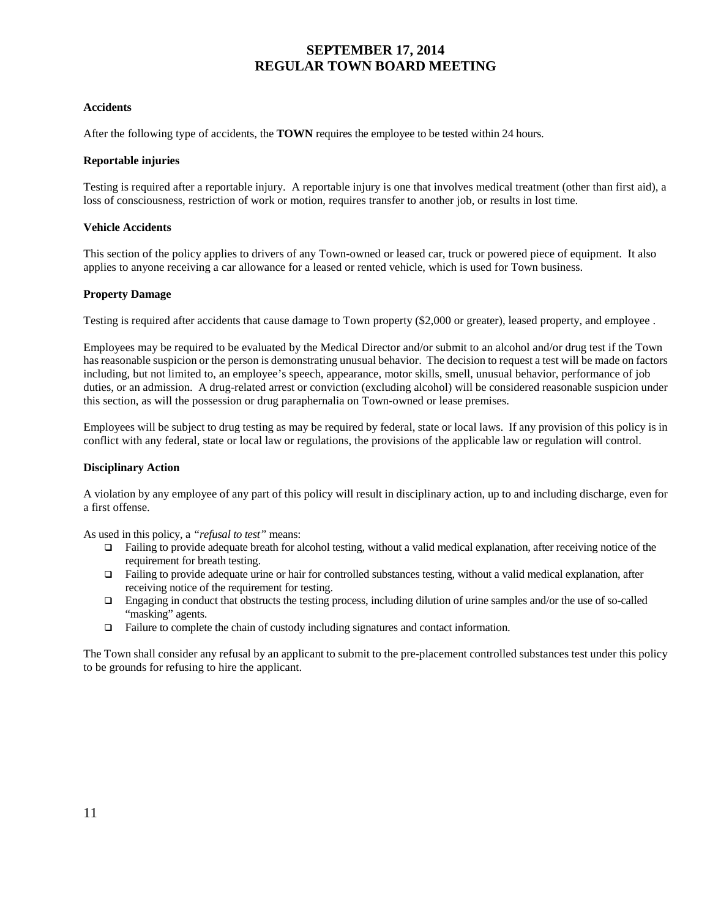#### **Accidents**

After the following type of accidents, the **TOWN** requires the employee to be tested within 24 hours.

#### **Reportable injuries**

Testing is required after a reportable injury. A reportable injury is one that involves medical treatment (other than first aid), a loss of consciousness, restriction of work or motion, requires transfer to another job, or results in lost time.

#### **Vehicle Accidents**

This section of the policy applies to drivers of any Town-owned or leased car, truck or powered piece of equipment. It also applies to anyone receiving a car allowance for a leased or rented vehicle, which is used for Town business.

#### **Property Damage**

Testing is required after accidents that cause damage to Town property (\$2,000 or greater), leased property, and employee .

Employees may be required to be evaluated by the Medical Director and/or submit to an alcohol and/or drug test if the Town has reasonable suspicion or the person is demonstrating unusual behavior. The decision to request a test will be made on factors including, but not limited to, an employee's speech, appearance, motor skills, smell, unusual behavior, performance of job duties, or an admission. A drug-related arrest or conviction (excluding alcohol) will be considered reasonable suspicion under this section, as will the possession or drug paraphernalia on Town-owned or lease premises.

Employees will be subject to drug testing as may be required by federal, state or local laws. If any provision of this policy is in conflict with any federal, state or local law or regulations, the provisions of the applicable law or regulation will control.

#### **Disciplinary Action**

A violation by any employee of any part of this policy will result in disciplinary action, up to and including discharge, even for a first offense.

As used in this policy, a *"refusal to test"* means:

- $\Box$  Failing to provide adequate breath for alcohol testing, without a valid medical explanation, after receiving notice of the requirement for breath testing.
- $\Box$  Failing to provide adequate urine or hair for controlled substances testing, without a valid medical explanation, after receiving notice of the requirement for testing.
- Engaging in conduct that obstructs the testing process, including dilution of urine samples and/or the use of so-called "masking" agents.
- $\Box$  Failure to complete the chain of custody including signatures and contact information.

The Town shall consider any refusal by an applicant to submit to the pre-placement controlled substances test under this policy to be grounds for refusing to hire the applicant.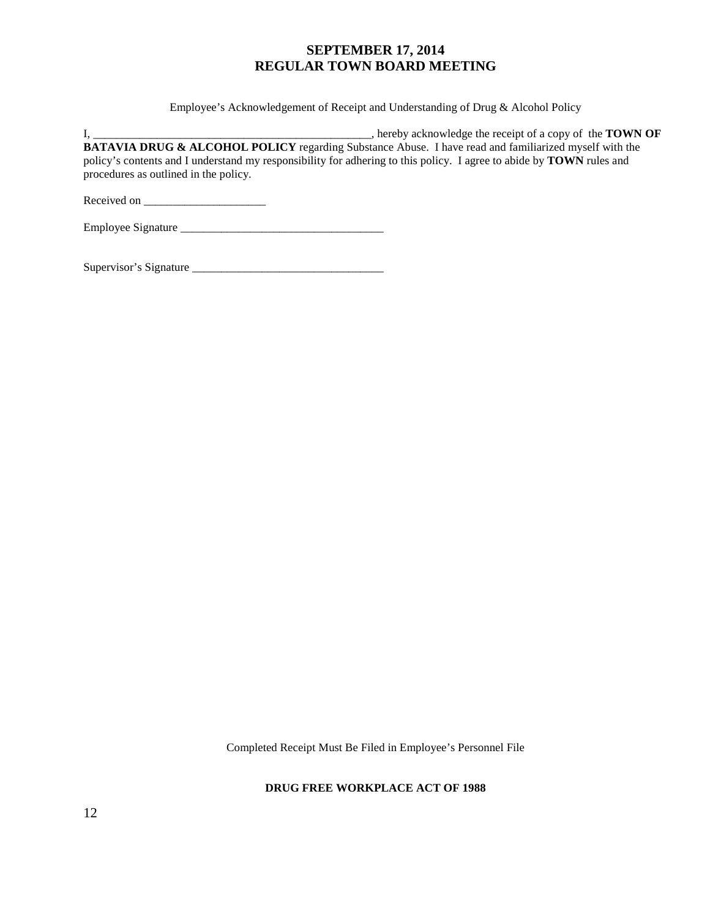Employee's Acknowledgement of Receipt and Understanding of Drug & Alcohol Policy

I, \_\_\_\_\_\_\_\_\_\_\_\_\_\_\_\_\_\_\_\_\_\_\_\_\_\_\_\_\_\_\_\_\_\_\_\_\_\_\_\_\_\_\_\_\_\_\_\_, hereby acknowledge the receipt of a copy of the **TOWN OF BATAVIA DRUG & ALCOHOL POLICY** regarding Substance Abuse. I have read and familiarized myself with the policy's contents and I understand my responsibility for adhering to this policy. I agree to abide by **TOWN** rules and procedures as outlined in the policy.

Received on \_\_\_\_\_\_\_\_\_\_\_\_\_\_\_\_\_\_\_\_\_

Employee Signature \_\_\_\_\_\_\_\_\_\_\_\_\_\_\_\_\_\_\_\_\_\_\_\_\_\_\_\_\_\_\_\_\_\_\_

Supervisor's Signature \_\_\_\_\_\_\_\_\_\_\_\_\_\_\_\_\_\_\_\_\_\_\_\_\_\_\_\_\_\_\_\_\_

Completed Receipt Must Be Filed in Employee's Personnel File

#### **DRUG FREE WORKPLACE ACT OF 1988**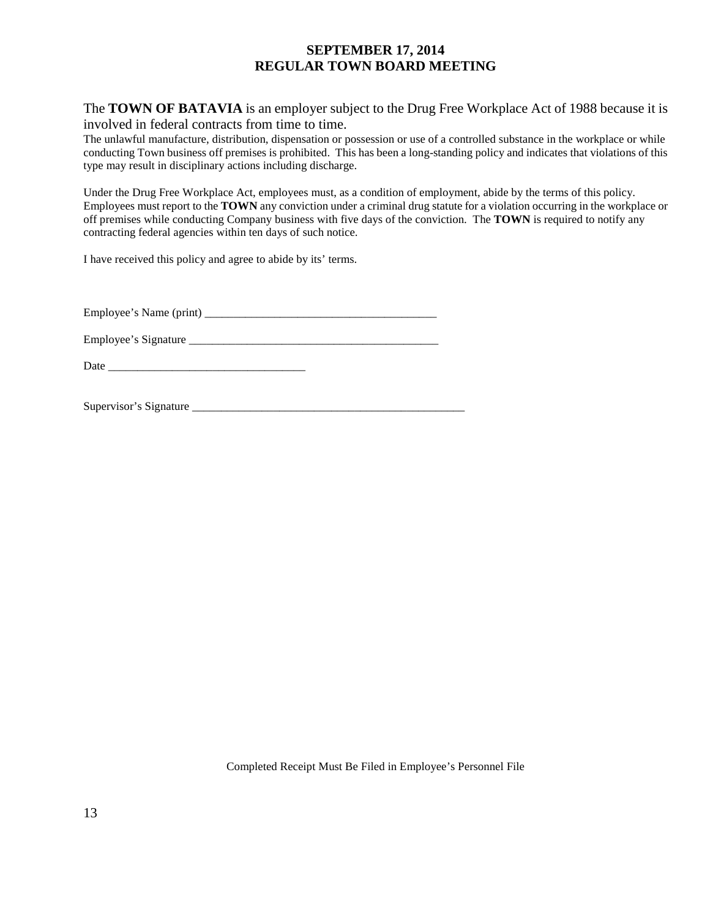The **TOWN OF BATAVIA** is an employer subject to the Drug Free Workplace Act of 1988 because it is involved in federal contracts from time to time.

The unlawful manufacture, distribution, dispensation or possession or use of a controlled substance in the workplace or while conducting Town business off premises is prohibited. This has been a long-standing policy and indicates that violations of this type may result in disciplinary actions including discharge.

Under the Drug Free Workplace Act, employees must, as a condition of employment, abide by the terms of this policy. Employees must report to the **TOWN** any conviction under a criminal drug statute for a violation occurring in the workplace or off premises while conducting Company business with five days of the conviction. The **TOWN** is required to notify any contracting federal agencies within ten days of such notice.

I have received this policy and agree to abide by its' terms.

Employee's Name (print) \_\_\_\_\_\_\_\_\_\_\_\_\_\_\_\_\_\_\_\_\_\_\_\_\_\_\_\_\_\_\_\_\_\_\_\_\_\_\_\_

Employee's Signature

Date  $\Box$ 

Supervisor's Signature \_\_\_\_\_\_\_\_\_\_\_\_\_\_\_\_\_\_\_\_\_\_\_\_\_\_\_\_\_\_\_\_\_\_\_\_\_\_\_\_\_\_\_\_\_\_\_

Completed Receipt Must Be Filed in Employee's Personnel File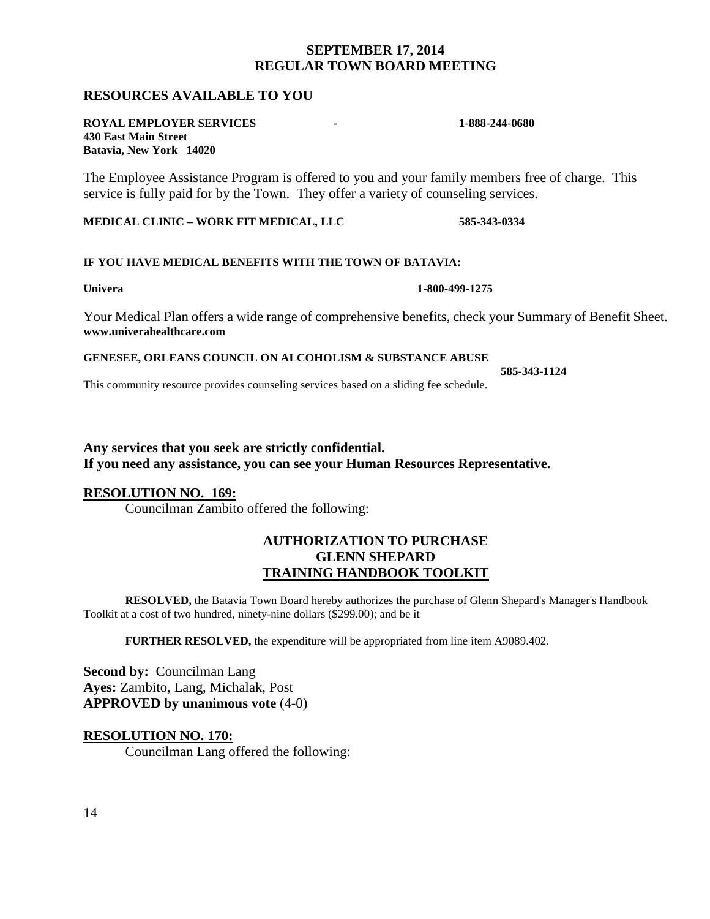## **RESOURCES AVAILABLE TO YOU**

#### **ROYAL EMPLOYER SERVICES - 1-888-244-0680 430 East Main Street Batavia, New York 14020**

The Employee Assistance Program is offered to you and your family members free of charge. This service is fully paid for by the Town. They offer a variety of counseling services.

**MEDICAL CLINIC – WORK FIT MEDICAL, LLC 585-343-0334**

#### **IF YOU HAVE MEDICAL BENEFITS WITH THE TOWN OF BATAVIA:**

Your Medical Plan offers a wide range of comprehensive benefits, check your Summary of Benefit Sheet. **www.univerahealthcare.com**

#### **GENESEE, ORLEANS COUNCIL ON ALCOHOLISM & SUBSTANCE ABUSE**

This community resource provides counseling services based on a sliding fee schedule.

## **Any services that you seek are strictly confidential. If you need any assistance, you can see your Human Resources Representative.**

## **RESOLUTION NO. 169:**

Councilman Zambito offered the following:

## **AUTHORIZATION TO PURCHASE GLENN SHEPARD TRAINING HANDBOOK TOOLKIT**

**RESOLVED,** the Batavia Town Board hereby authorizes the purchase of Glenn Shepard's Manager's Handbook Toolkit at a cost of two hundred, ninety-nine dollars (\$299.00); and be it

**FURTHER RESOLVED,** the expenditure will be appropriated from line item A9089.402.

**Second by: Councilman Lang Ayes:** Zambito, Lang, Michalak, Post **APPROVED by unanimous vote** (4-0)

## **RESOLUTION NO. 170:**

Councilman Lang offered the following:

**Univera 1-800-499-1275**

**585-343-1124**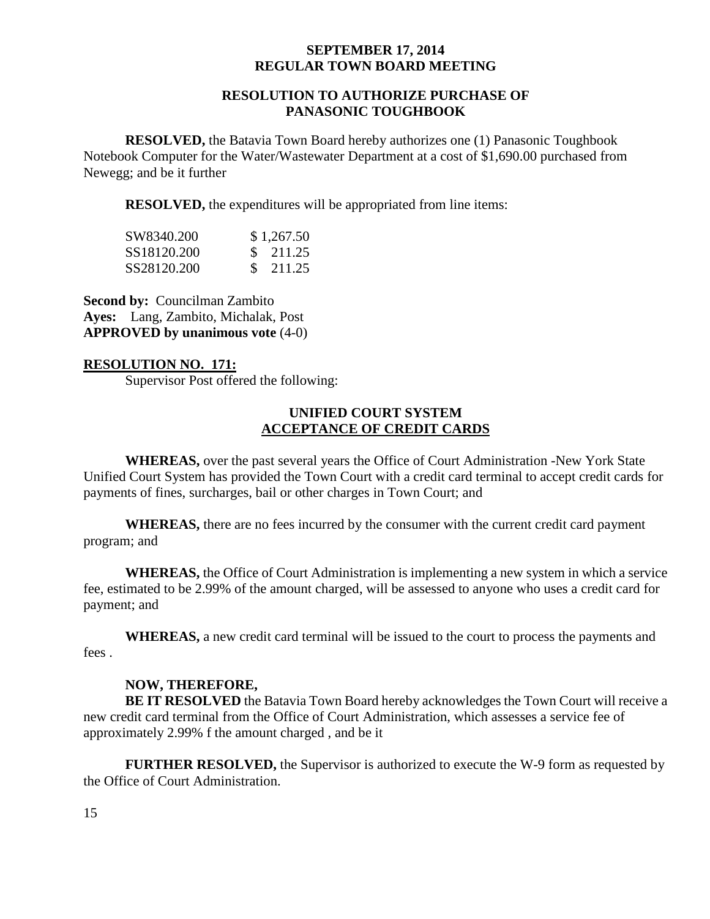## **RESOLUTION TO AUTHORIZE PURCHASE OF PANASONIC TOUGHBOOK**

**RESOLVED,** the Batavia Town Board hereby authorizes one (1) Panasonic Toughbook Notebook Computer for the Water/Wastewater Department at a cost of \$1,690.00 purchased from Newegg; and be it further

**RESOLVED,** the expenditures will be appropriated from line items:

| SW8340.200  | \$1,267.50 |
|-------------|------------|
| SS18120.200 | \$ 211.25  |
| SS28120.200 | \$ 211.25  |

**Second by: Councilman Zambito Ayes:** Lang, Zambito, Michalak, Post **APPROVED by unanimous vote** (4-0)

## **RESOLUTION NO. 171:**

Supervisor Post offered the following:

## **UNIFIED COURT SYSTEM ACCEPTANCE OF CREDIT CARDS**

**WHEREAS,** over the past several years the Office of Court Administration -New York State Unified Court System has provided the Town Court with a credit card terminal to accept credit cards for payments of fines, surcharges, bail or other charges in Town Court; and

**WHEREAS,** there are no fees incurred by the consumer with the current credit card payment program; and

**WHEREAS,** the Office of Court Administration is implementing a new system in which a service fee, estimated to be 2.99% of the amount charged, will be assessed to anyone who uses a credit card for payment; and

**WHEREAS,** a new credit card terminal will be issued to the court to process the payments and fees .

## **NOW, THEREFORE,**

**BE IT RESOLVED** the Batavia Town Board hereby acknowledges the Town Court will receive a new credit card terminal from the Office of Court Administration, which assesses a service fee of approximately 2.99% f the amount charged , and be it

**FURTHER RESOLVED,** the Supervisor is authorized to execute the W-9 form as requested by the Office of Court Administration.

15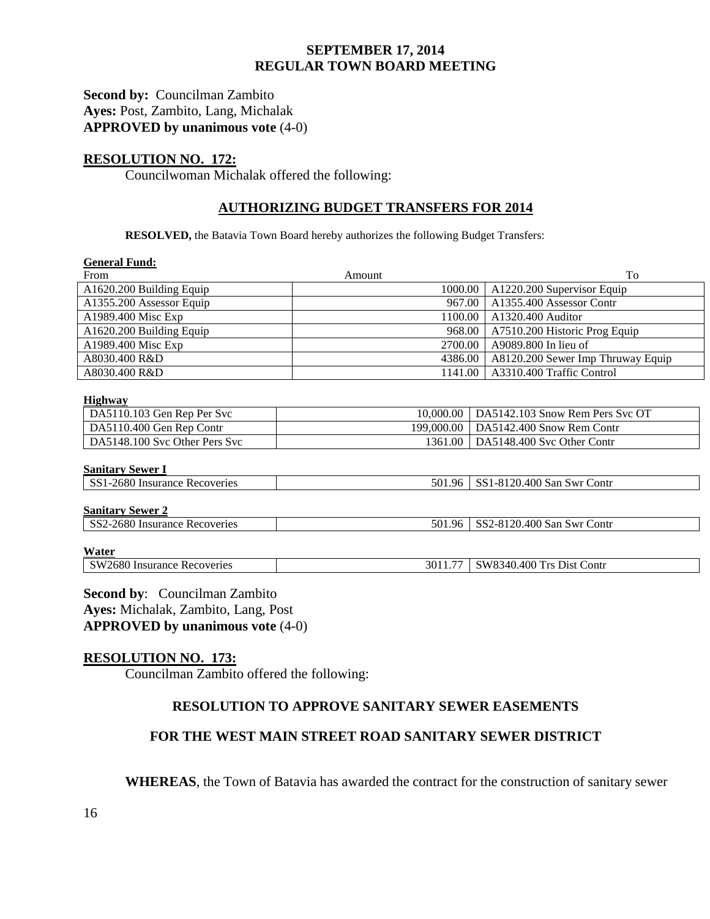## **Second by:** Councilman Zambito **Ayes:** Post, Zambito, Lang, Michalak **APPROVED by unanimous vote** (4-0)

## **RESOLUTION NO. 172:**

Councilwoman Michalak offered the following:

## **AUTHORIZING BUDGET TRANSFERS FOR 2014**

**RESOLVED,** the Batavia Town Board hereby authorizes the following Budget Transfers:

| <b>General Fund:</b>          |                                         |                                   |  |  |
|-------------------------------|-----------------------------------------|-----------------------------------|--|--|
| From                          | Amount                                  | To                                |  |  |
| A1620.200 Building Equip      | 1000.00                                 | A1220.200 Supervisor Equip        |  |  |
| A1355.200 Assessor Equip      | 967.00                                  | A1355.400 Assessor Contr          |  |  |
| A1989.400 Misc Exp            | 1100.00                                 | A1320.400 Auditor                 |  |  |
| A1620.200 Building Equip      | 968.00                                  | A7510.200 Historic Prog Equip     |  |  |
| A1989.400 Misc Exp            | 2700.00                                 | A9089.800 In lieu of              |  |  |
| A8030.400 R&D                 | 4386.00                                 | A8120.200 Sewer Imp Thruway Equip |  |  |
| A8030.400 R&D                 | 1141.00                                 | A3310.400 Traffic Control         |  |  |
| Highway                       |                                         |                                   |  |  |
| DA5110.103 Gen Rep Per Svc    | 10,000.00                               | DA5142.103 Snow Rem Pers Svc OT   |  |  |
| DA5110.400 Gen Rep Contr      | 199,000.00<br>DA5142.400 Snow Rem Contr |                                   |  |  |
| DA5148.100 Svc Other Pers Svc | DA5148.400 Svc Other Contr<br>1361.00   |                                   |  |  |
| <b>Sanitary Sewer I</b>       |                                         |                                   |  |  |
| SS1-2680 Insurance Recoveries | SS1-8120.400 San Swr Contr<br>501.96    |                                   |  |  |
| <b>Sanitary Sewer 2</b>       |                                         |                                   |  |  |
| SS2-2680 Insurance Recoveries | 501.96<br>SS2-8120.400 San Swr Contr    |                                   |  |  |
| Water                         |                                         |                                   |  |  |
| SW2680 Insurance Recoveries   | 3011.77                                 | SW8340.400 Trs Dist Contr         |  |  |

**Second by**: Councilman Zambito **Ayes:** Michalak, Zambito, Lang, Post **APPROVED by unanimous vote** (4-0)

## **RESOLUTION NO. 173:**

Councilman Zambito offered the following:

# **RESOLUTION TO APPROVE SANITARY SEWER EASEMENTS**

## **FOR THE WEST MAIN STREET ROAD SANITARY SEWER DISTRICT**

**WHEREAS**, the Town of Batavia has awarded the contract for the construction of sanitary sewer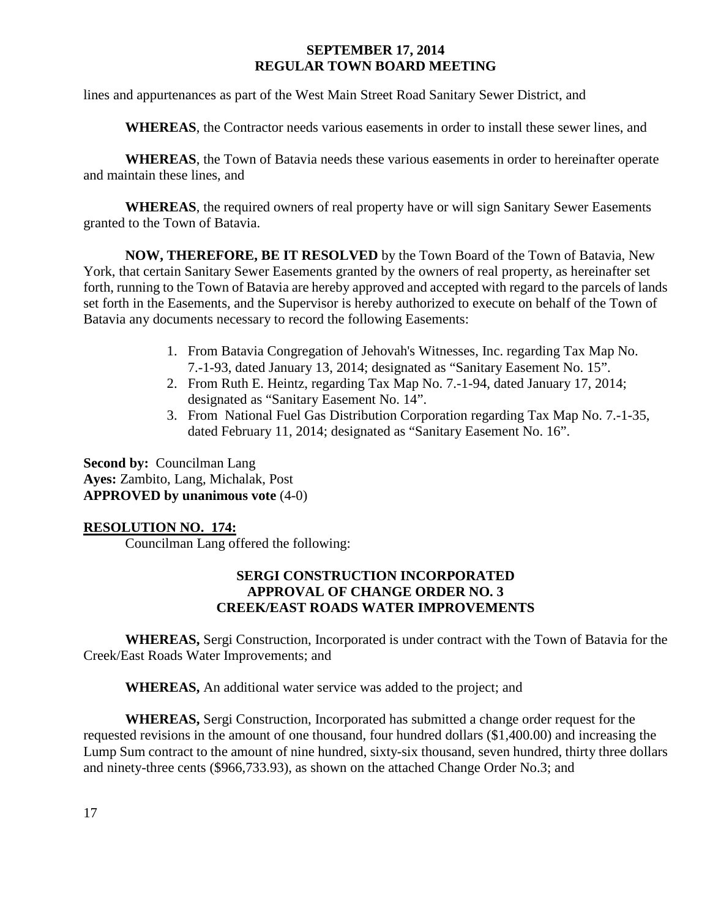lines and appurtenances as part of the West Main Street Road Sanitary Sewer District, and

**WHEREAS**, the Contractor needs various easements in order to install these sewer lines, and

**WHEREAS**, the Town of Batavia needs these various easements in order to hereinafter operate and maintain these lines, and

**WHEREAS**, the required owners of real property have or will sign Sanitary Sewer Easements granted to the Town of Batavia.

**NOW, THEREFORE, BE IT RESOLVED** by the Town Board of the Town of Batavia, New York, that certain Sanitary Sewer Easements granted by the owners of real property, as hereinafter set forth, running to the Town of Batavia are hereby approved and accepted with regard to the parcels of lands set forth in the Easements, and the Supervisor is hereby authorized to execute on behalf of the Town of Batavia any documents necessary to record the following Easements:

- 1. From Batavia Congregation of Jehovah's Witnesses, Inc. regarding Tax Map No. 7.-1-93, dated January 13, 2014; designated as "Sanitary Easement No. 15".
- 2. From Ruth E. Heintz, regarding Tax Map No. 7.-1-94, dated January 17, 2014; designated as "Sanitary Easement No. 14".
- 3. From National Fuel Gas Distribution Corporation regarding Tax Map No. 7.-1-35, dated February 11, 2014; designated as "Sanitary Easement No. 16".

**Second by: Councilman Lang Ayes:** Zambito, Lang, Michalak, Post **APPROVED by unanimous vote** (4-0)

## **RESOLUTION NO. 174:**

Councilman Lang offered the following:

## **SERGI CONSTRUCTION INCORPORATED APPROVAL OF CHANGE ORDER NO. 3 CREEK/EAST ROADS WATER IMPROVEMENTS**

**WHEREAS,** Sergi Construction, Incorporated is under contract with the Town of Batavia for the Creek/East Roads Water Improvements; and

**WHEREAS,** An additional water service was added to the project; and

**WHEREAS,** Sergi Construction, Incorporated has submitted a change order request for the requested revisions in the amount of one thousand, four hundred dollars (\$1,400.00) and increasing the Lump Sum contract to the amount of nine hundred, sixty-six thousand, seven hundred, thirty three dollars and ninety-three cents (\$966,733.93), as shown on the attached Change Order No.3; and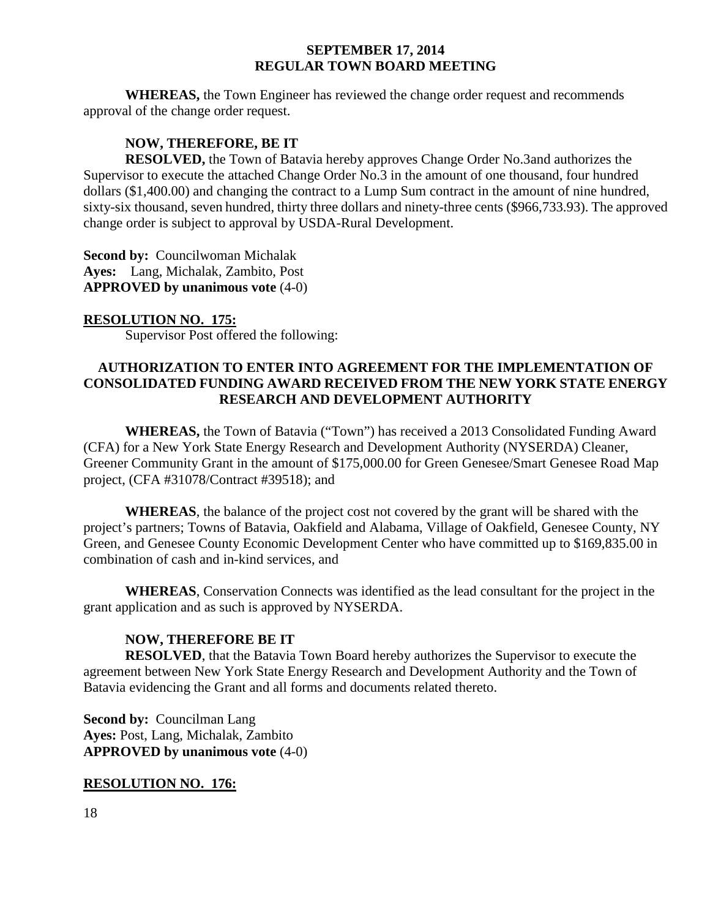**WHEREAS,** the Town Engineer has reviewed the change order request and recommends approval of the change order request.

# **NOW, THEREFORE, BE IT**

**RESOLVED,** the Town of Batavia hereby approves Change Order No.3and authorizes the Supervisor to execute the attached Change Order No.3 in the amount of one thousand, four hundred dollars (\$1,400.00) and changing the contract to a Lump Sum contract in the amount of nine hundred, sixty-six thousand, seven hundred, thirty three dollars and ninety-three cents (\$966,733.93). The approved change order is subject to approval by USDA-Rural Development.

**Second by: Councilwoman Michalak Ayes:** Lang, Michalak, Zambito, Post **APPROVED by unanimous vote** (4-0)

## **RESOLUTION NO. 175:**

Supervisor Post offered the following:

## **AUTHORIZATION TO ENTER INTO AGREEMENT FOR THE IMPLEMENTATION OF CONSOLIDATED FUNDING AWARD RECEIVED FROM THE NEW YORK STATE ENERGY RESEARCH AND DEVELOPMENT AUTHORITY**

**WHEREAS,** the Town of Batavia ("Town") has received a 2013 Consolidated Funding Award (CFA) for a New York State Energy Research and Development Authority (NYSERDA) Cleaner, Greener Community Grant in the amount of \$175,000.00 for Green Genesee/Smart Genesee Road Map project, (CFA #31078/Contract #39518); and

**WHEREAS**, the balance of the project cost not covered by the grant will be shared with the project's partners; Towns of Batavia, Oakfield and Alabama, Village of Oakfield, Genesee County, NY Green, and Genesee County Economic Development Center who have committed up to \$169,835.00 in combination of cash and in-kind services, and

**WHEREAS**, Conservation Connects was identified as the lead consultant for the project in the grant application and as such is approved by NYSERDA.

## **NOW, THEREFORE BE IT**

**RESOLVED**, that the Batavia Town Board hereby authorizes the Supervisor to execute the agreement between New York State Energy Research and Development Authority and the Town of Batavia evidencing the Grant and all forms and documents related thereto.

**Second by: Councilman Lang Ayes:** Post, Lang, Michalak, Zambito **APPROVED by unanimous vote** (4-0)

## **RESOLUTION NO. 176:**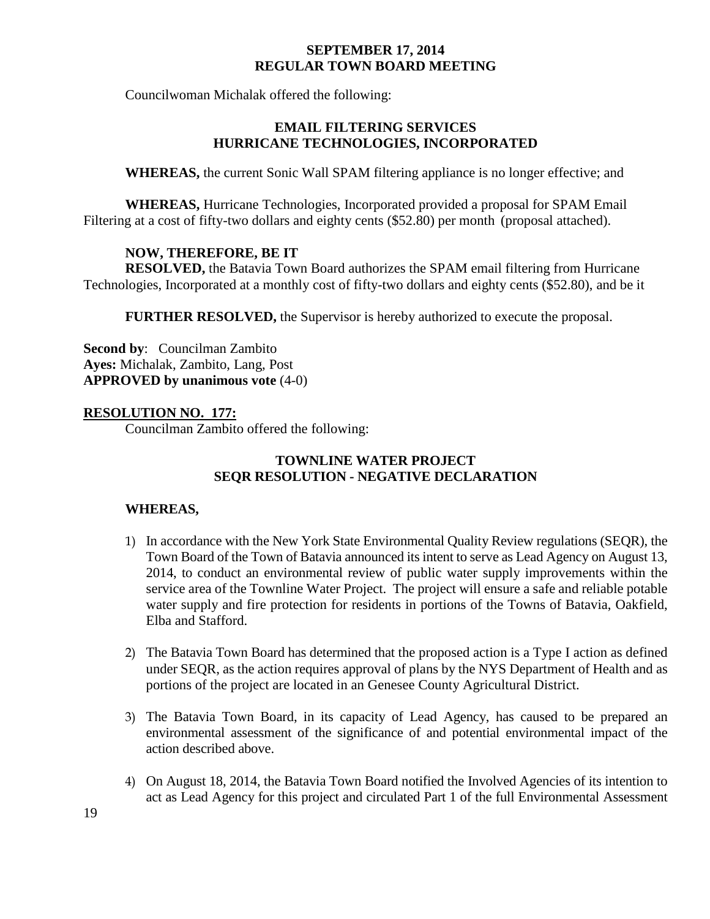Councilwoman Michalak offered the following:

# **EMAIL FILTERING SERVICES HURRICANE TECHNOLOGIES, INCORPORATED**

**WHEREAS,** the current Sonic Wall SPAM filtering appliance is no longer effective; and

**WHEREAS,** Hurricane Technologies, Incorporated provided a proposal for SPAM Email Filtering at a cost of fifty-two dollars and eighty cents (\$52.80) per month (proposal attached).

# **NOW, THEREFORE, BE IT**

**RESOLVED,** the Batavia Town Board authorizes the SPAM email filtering from Hurricane Technologies, Incorporated at a monthly cost of fifty-two dollars and eighty cents (\$52.80), and be it

**FURTHER RESOLVED,** the Supervisor is hereby authorized to execute the proposal.

**Second by**: Councilman Zambito **Ayes:** Michalak, Zambito, Lang, Post **APPROVED by unanimous vote** (4-0)

## **RESOLUTION NO. 177:**

Councilman Zambito offered the following:

## **TOWNLINE WATER PROJECT SEQR RESOLUTION - NEGATIVE DECLARATION**

## **WHEREAS,**

- 1) In accordance with the New York State Environmental Quality Review regulations (SEQR), the Town Board of the Town of Batavia announced its intent to serve as Lead Agency on August 13, 2014, to conduct an environmental review of public water supply improvements within the service area of the Townline Water Project. The project will ensure a safe and reliable potable water supply and fire protection for residents in portions of the Towns of Batavia, Oakfield, Elba and Stafford.
- 2) The Batavia Town Board has determined that the proposed action is a Type I action as defined under SEQR, as the action requires approval of plans by the NYS Department of Health and as portions of the project are located in an Genesee County Agricultural District.
- 3) The Batavia Town Board, in its capacity of Lead Agency, has caused to be prepared an environmental assessment of the significance of and potential environmental impact of the action described above.
- 4) On August 18, 2014, the Batavia Town Board notified the Involved Agencies of its intention to act as Lead Agency for this project and circulated Part 1 of the full Environmental Assessment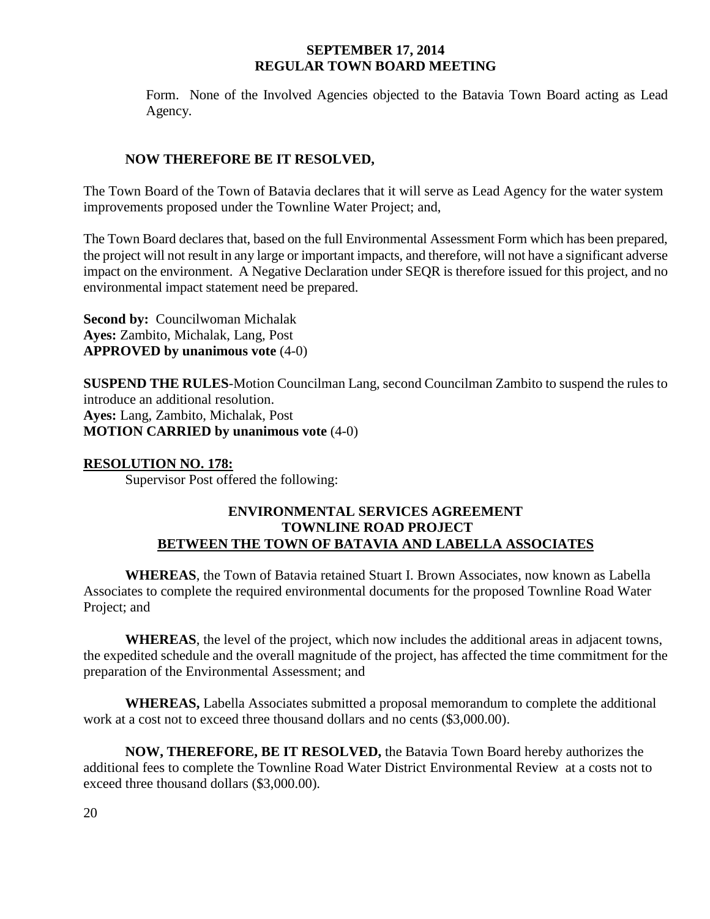Form. None of the Involved Agencies objected to the Batavia Town Board acting as Lead Agency.

## **NOW THEREFORE BE IT RESOLVED,**

The Town Board of the Town of Batavia declares that it will serve as Lead Agency for the water system improvements proposed under the Townline Water Project; and,

The Town Board declares that, based on the full Environmental Assessment Form which has been prepared, the project will not result in any large or important impacts, and therefore, will not have a significant adverse impact on the environment. A Negative Declaration under SEQR is therefore issued for this project, and no environmental impact statement need be prepared.

**Second by:** Councilwoman Michalak **Ayes:** Zambito, Michalak, Lang, Post **APPROVED by unanimous vote** (4-0)

**SUSPEND THE RULES**-Motion Councilman Lang, second Councilman Zambito to suspend the rules to introduce an additional resolution. **Ayes:** Lang, Zambito, Michalak, Post **MOTION CARRIED by unanimous vote** (4-0)

## **RESOLUTION NO. 178:**

Supervisor Post offered the following:

## **ENVIRONMENTAL SERVICES AGREEMENT TOWNLINE ROAD PROJECT BETWEEN THE TOWN OF BATAVIA AND LABELLA ASSOCIATES**

**WHEREAS**, the Town of Batavia retained Stuart I. Brown Associates, now known as Labella Associates to complete the required environmental documents for the proposed Townline Road Water Project; and

**WHEREAS**, the level of the project, which now includes the additional areas in adjacent towns, the expedited schedule and the overall magnitude of the project, has affected the time commitment for the preparation of the Environmental Assessment; and

**WHEREAS,** Labella Associates submitted a proposal memorandum to complete the additional work at a cost not to exceed three thousand dollars and no cents (\$3,000.00).

**NOW, THEREFORE, BE IT RESOLVED,** the Batavia Town Board hereby authorizes the additional fees to complete the Townline Road Water District Environmental Review at a costs not to exceed three thousand dollars (\$3,000.00).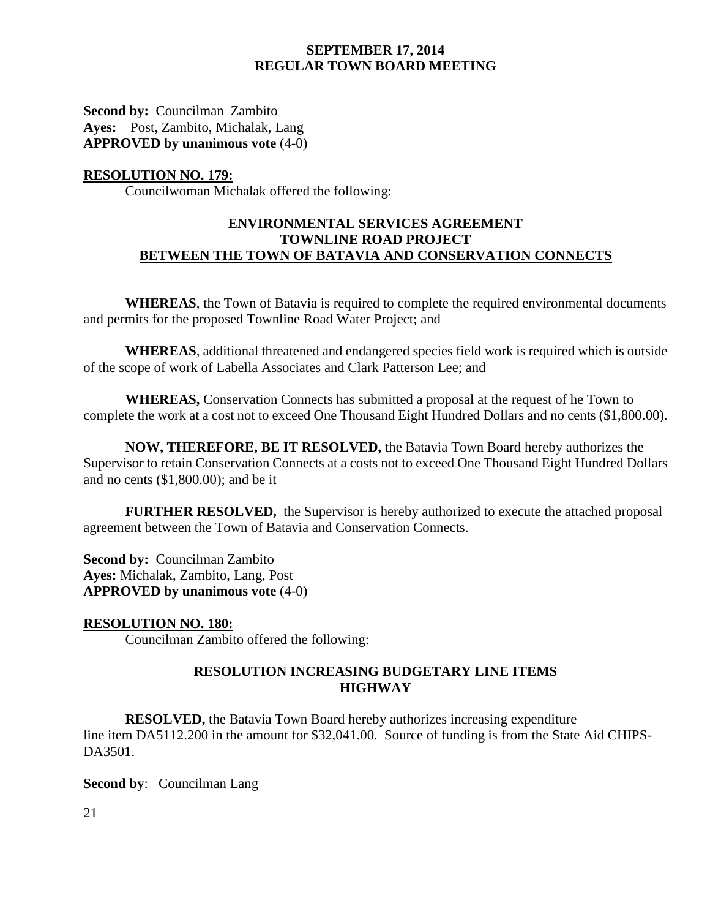**Second by:** Councilman Zambito **Ayes:** Post, Zambito, Michalak, Lang **APPROVED by unanimous vote** (4-0)

## **RESOLUTION NO. 179:**

Councilwoman Michalak offered the following:

## **ENVIRONMENTAL SERVICES AGREEMENT TOWNLINE ROAD PROJECT BETWEEN THE TOWN OF BATAVIA AND CONSERVATION CONNECTS**

**WHEREAS**, the Town of Batavia is required to complete the required environmental documents and permits for the proposed Townline Road Water Project; and

**WHEREAS**, additional threatened and endangered species field work is required which is outside of the scope of work of Labella Associates and Clark Patterson Lee; and

**WHEREAS,** Conservation Connects has submitted a proposal at the request of he Town to complete the work at a cost not to exceed One Thousand Eight Hundred Dollars and no cents (\$1,800.00).

**NOW, THEREFORE, BE IT RESOLVED,** the Batavia Town Board hereby authorizes the Supervisor to retain Conservation Connects at a costs not to exceed One Thousand Eight Hundred Dollars and no cents (\$1,800.00); and be it

**FURTHER RESOLVED,** the Supervisor is hereby authorized to execute the attached proposal agreement between the Town of Batavia and Conservation Connects.

**Second by:** Councilman Zambito **Ayes:** Michalak, Zambito, Lang, Post **APPROVED by unanimous vote** (4-0)

# **RESOLUTION NO. 180:**

Councilman Zambito offered the following:

## **RESOLUTION INCREASING BUDGETARY LINE ITEMS HIGHWAY**

**RESOLVED,** the Batavia Town Board hereby authorizes increasing expenditure line item DA5112.200 in the amount for \$32,041.00. Source of funding is from the State Aid CHIPS-DA3501.

**Second by**: Councilman Lang

21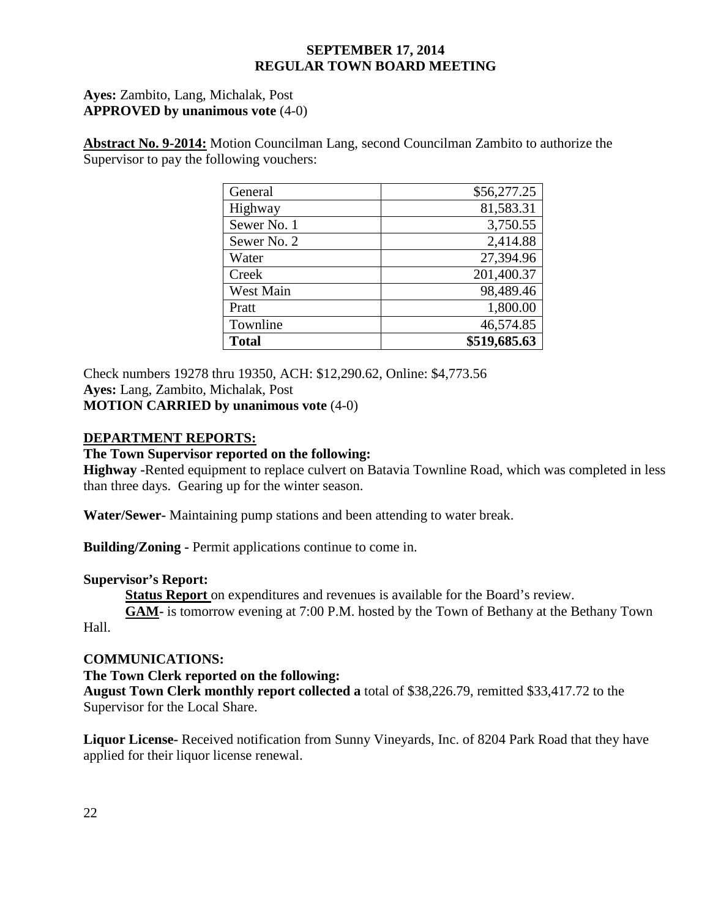## **Ayes:** Zambito, Lang, Michalak, Post **APPROVED by unanimous vote** (4-0)

**Abstract No. 9-2014:** Motion Councilman Lang, second Councilman Zambito to authorize the Supervisor to pay the following vouchers:

| General      | \$56,277.25  |
|--------------|--------------|
| Highway      | 81,583.31    |
| Sewer No. 1  | 3,750.55     |
| Sewer No. 2  | 2,414.88     |
| Water        | 27,394.96    |
| Creek        | 201,400.37   |
| West Main    | 98,489.46    |
| Pratt        | 1,800.00     |
| Townline     | 46,574.85    |
| <b>Total</b> | \$519,685.63 |

Check numbers 19278 thru 19350, ACH: \$12,290.62, Online: \$4,773.56 **Ayes:** Lang, Zambito, Michalak, Post **MOTION CARRIED by unanimous vote** (4-0)

## **DEPARTMENT REPORTS:**

## **The Town Supervisor reported on the following:**

**Highway -**Rented equipment to replace culvert on Batavia Townline Road, which was completed in less than three days. Gearing up for the winter season.

**Water/Sewer-** Maintaining pump stations and been attending to water break.

**Building/Zoning -** Permit applications continue to come in.

## **Supervisor's Report:**

**Status Report** on expenditures and revenues is available for the Board's review.

**GAM-** is tomorrow evening at 7:00 P.M. hosted by the Town of Bethany at the Bethany Town Hall.

## **COMMUNICATIONS:**

**The Town Clerk reported on the following:**

**August Town Clerk monthly report collected a** total of \$38,226.79, remitted \$33,417.72 to the Supervisor for the Local Share.

**Liquor License-** Received notification from Sunny Vineyards, Inc. of 8204 Park Road that they have applied for their liquor license renewal.